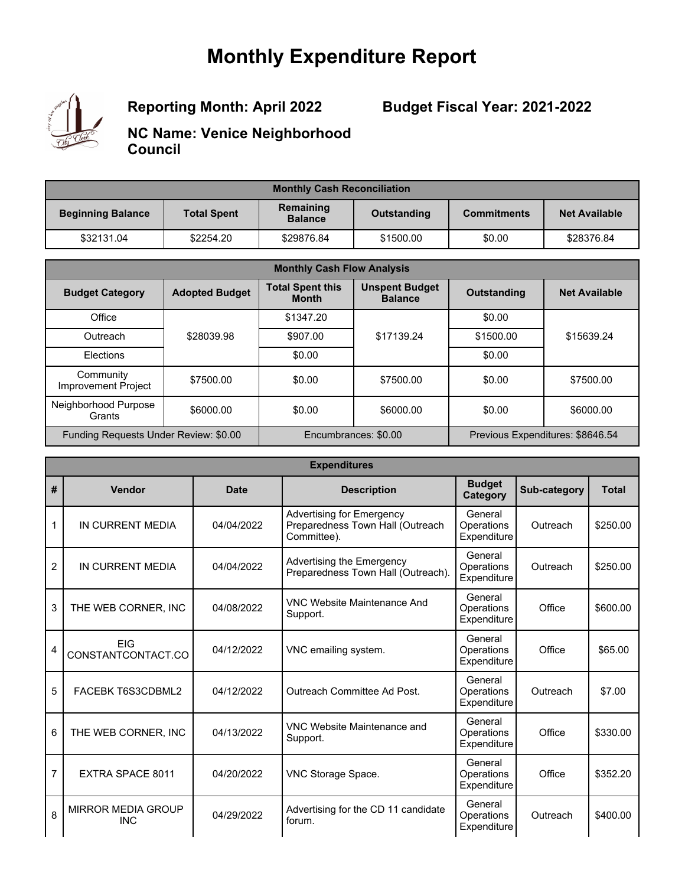# **Monthly Expenditure Report**



**Reporting Month: April 2022**

**Budget Fiscal Year: 2021-2022**

**NC Name: Venice Neighborhood Council**

| <b>Monthly Cash Reconciliation</b> |                    |                             |             |                    |                      |
|------------------------------------|--------------------|-----------------------------|-------------|--------------------|----------------------|
| <b>Beginning Balance</b>           | <b>Total Spent</b> | Remaining<br><b>Balance</b> | Outstanding | <b>Commitments</b> | <b>Net Available</b> |
| \$32131.04                         | \$2254.20          | \$29876.84                  | \$1500.00   | \$0.00             | \$28376.84           |

| <b>Monthly Cash Flow Analysis</b>     |                       |                                         |                                         |                    |                                  |
|---------------------------------------|-----------------------|-----------------------------------------|-----------------------------------------|--------------------|----------------------------------|
| <b>Budget Category</b>                | <b>Adopted Budget</b> | <b>Total Spent this</b><br><b>Month</b> | <b>Unspent Budget</b><br><b>Balance</b> | <b>Outstanding</b> | <b>Net Available</b>             |
| Office                                |                       | \$1347.20                               |                                         | \$0.00             |                                  |
| Outreach                              | \$28039.98            | \$907.00                                | \$17139.24                              | \$1500.00          | \$15639.24                       |
| Elections                             |                       | \$0.00                                  |                                         | \$0.00             |                                  |
| Community<br>Improvement Project      | \$7500.00             | \$0.00                                  | \$7500.00                               | \$0.00             | \$7500.00                        |
| Neighborhood Purpose<br>Grants        | \$6000.00             | \$0.00                                  | \$6000.00                               | \$0.00             | \$6000.00                        |
| Funding Requests Under Review: \$0.00 |                       |                                         | Encumbrances: \$0.00                    |                    | Previous Expenditures: \$8646.54 |

|                | <b>Expenditures</b>                     |             |                                                                              |                                      |              |              |  |
|----------------|-----------------------------------------|-------------|------------------------------------------------------------------------------|--------------------------------------|--------------|--------------|--|
| #              | Vendor                                  | <b>Date</b> | <b>Description</b>                                                           | <b>Budget</b><br>Category            | Sub-category | <b>Total</b> |  |
| 1              | IN CURRENT MEDIA                        | 04/04/2022  | Advertising for Emergency<br>Preparedness Town Hall (Outreach<br>Committee). | General<br>Operations<br>Expenditure | Outreach     | \$250.00     |  |
| $\overline{2}$ | IN CURRENT MEDIA                        | 04/04/2022  | Advertising the Emergency<br>Preparedness Town Hall (Outreach).              | General<br>Operations<br>Expenditure | Outreach     | \$250.00     |  |
| 3              | THE WEB CORNER, INC                     | 04/08/2022  | VNC Website Maintenance And<br>Support.                                      | General<br>Operations<br>Expenditure | Office       | \$600.00     |  |
| 4              | <b>FIG</b><br>CONSTANTCONTACT.CO        | 04/12/2022  | VNC emailing system.                                                         | General<br>Operations<br>Expenditure | Office       | \$65.00      |  |
| 5              | FACEBK T6S3CDBML2                       | 04/12/2022  | Outreach Committee Ad Post.                                                  | General<br>Operations<br>Expenditure | Outreach     | \$7.00       |  |
| 6              | THE WEB CORNER, INC                     | 04/13/2022  | VNC Website Maintenance and<br>Support.                                      | General<br>Operations<br>Expenditure | Office       | \$330.00     |  |
| 7              | EXTRA SPACE 8011                        | 04/20/2022  | VNC Storage Space.                                                           | General<br>Operations<br>Expenditure | Office       | \$352.20     |  |
| 8              | <b>MIRROR MEDIA GROUP</b><br><b>INC</b> | 04/29/2022  | Advertising for the CD 11 candidate<br>forum.                                | General<br>Operations<br>Expenditure | Outreach     | \$400.00     |  |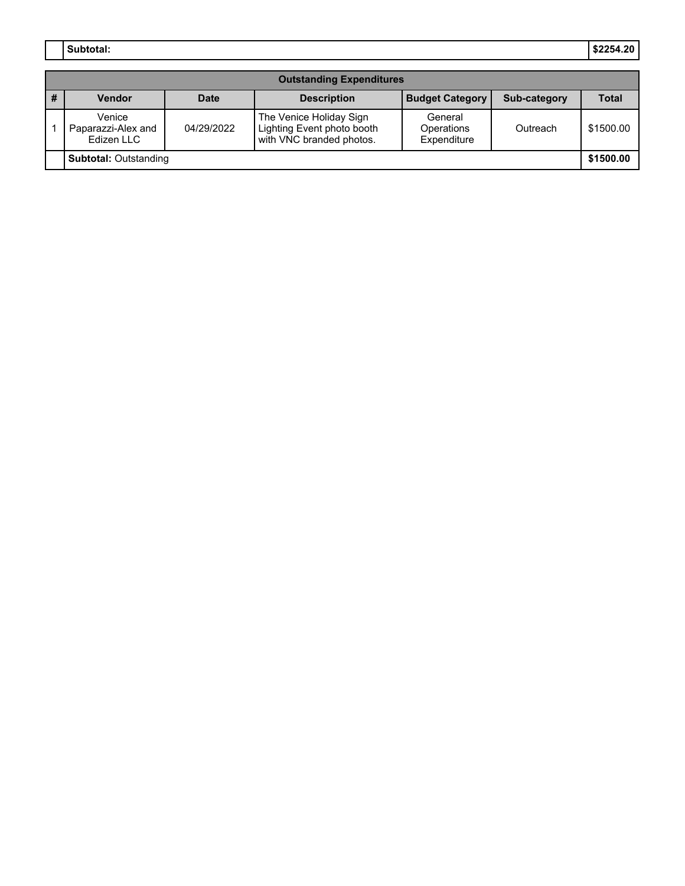**Subtotal: \$2254.20**

|                              | <b>Outstanding Expenditures</b>            |             |                                                                                   |                                      |              |              |
|------------------------------|--------------------------------------------|-------------|-----------------------------------------------------------------------------------|--------------------------------------|--------------|--------------|
| #                            | <b>Vendor</b>                              | <b>Date</b> | <b>Description</b>                                                                | <b>Budget Category</b>               | Sub-category | <b>Total</b> |
|                              | Venice<br>Paparazzi-Alex and<br>Edizen LLC | 04/29/2022  | The Venice Holiday Sign<br>Lighting Event photo booth<br>with VNC branded photos. | General<br>Operations<br>Expenditure | Outreach     | \$1500.00    |
| <b>Subtotal: Outstanding</b> |                                            |             |                                                                                   |                                      | \$1500.00    |              |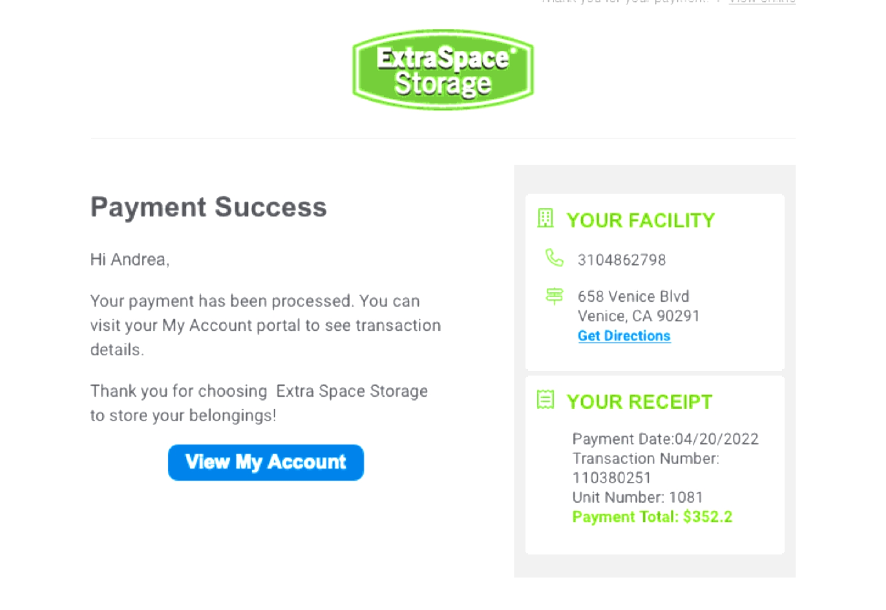

### **Payment Success**

Hi Andrea.

Your payment has been processed. You can visit your My Account portal to see transaction details.

Thank you for choosing Extra Space Storage to store your belongings!



### **EL YOUR FACILITY**

- B, 3104862798
- 宫 658 Venice Blvd Venice, CA 90291 **Get Directions**

### E YOUR RECEIPT

Payment Date:04/20/2022 Transaction Number: 110380251 Unit Number: 1081 Payment Total: \$352.2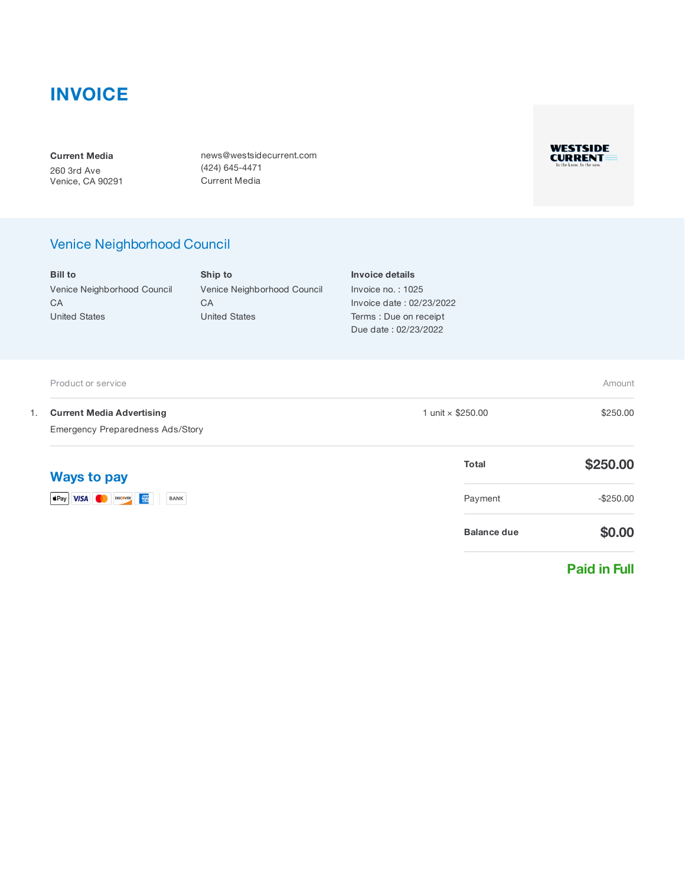### **INVOICE**

Current Media 260 3rd Ave Venice, CA 90291 news@westsidecurrent.com (424) 645-4471 Current Media



### Venice Neighborhood Council

Bill to Venice Neighborhood Council **CA** United States

Ship to Venice Neighborhood Council **CA** United States

Invoice details Invoice no. : 1025 Invoice date : 02/23/2022 Terms : Due on receipt Due date : 02/23/2022

|                                                                                   | Product or service                  |                    | Amount       |
|-----------------------------------------------------------------------------------|-------------------------------------|--------------------|--------------|
| <b>Current Media Advertising</b><br>1.<br><b>Emergency Preparedness Ads/Story</b> | 1 unit × \$250.00                   | \$250.00           |              |
|                                                                                   | <b>Ways to pay</b>                  | <b>Total</b>       | \$250.00     |
|                                                                                   | SPay VISA O DISCOVER<br><b>BANK</b> | Payment            | $-$ \$250.00 |
|                                                                                   |                                     | <b>Balance due</b> | \$0.00       |

#### Paid in Full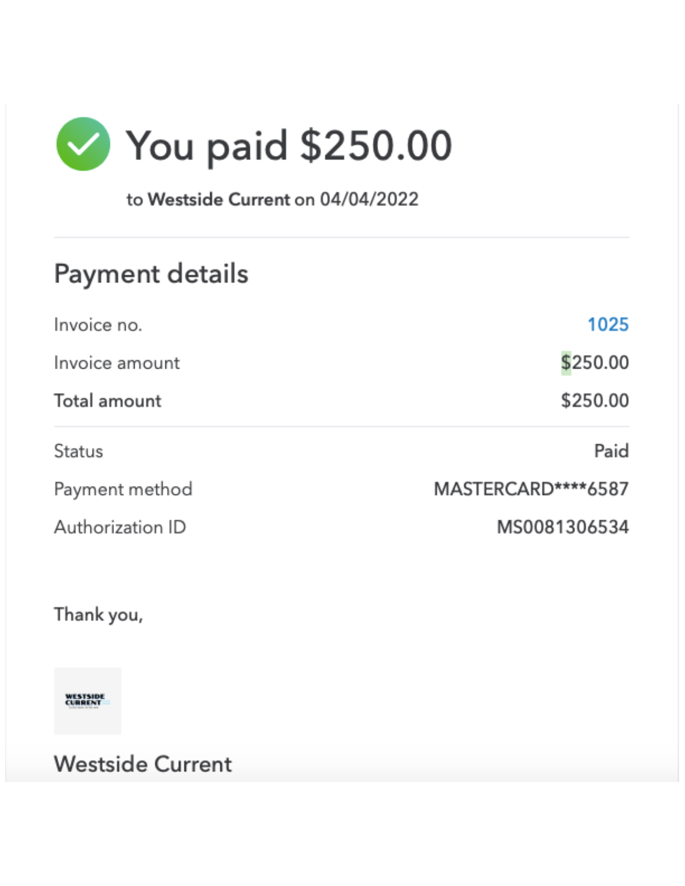

to Westside Current on 04/04/2022

# Payment details

| 1025               |
|--------------------|
| \$250.00           |
| \$250.00           |
| Paid               |
| MASTERCARD****6587 |
| MS0081306534       |
|                    |

Thank you,

**WESTSIDE**<br>CURRENT

**Westside Current**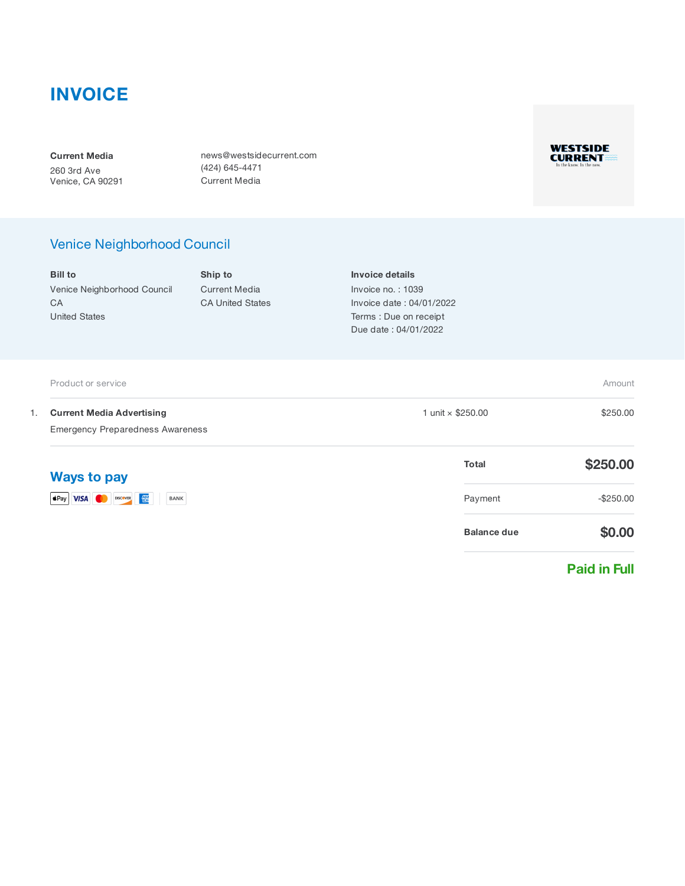### INVOICE

Current Media 260 3rd Ave Venice, CA 90291 news@westsidecurrent.com (424) 645-4471 Current Media



### Venice Neighborhood Council

|    | <b>Bill to</b>                                                              | Ship to                                         | Invoice details                                                                                 |                    |                     |
|----|-----------------------------------------------------------------------------|-------------------------------------------------|-------------------------------------------------------------------------------------------------|--------------------|---------------------|
|    | Venice Neighborhood Council<br>CA<br><b>United States</b>                   | <b>Current Media</b><br><b>CA United States</b> | Invoice no.: 1039<br>Invoice date: 04/01/2022<br>Terms : Due on receipt<br>Due date: 04/01/2022 |                    |                     |
|    | Product or service                                                          |                                                 |                                                                                                 |                    | Amount              |
| 1. | <b>Current Media Advertising</b><br><b>Emergency Preparedness Awareness</b> |                                                 | 1 unit × \$250.00                                                                               |                    | \$250.00            |
|    | <b>Ways to pay</b>                                                          |                                                 |                                                                                                 | <b>Total</b>       | \$250.00            |
|    | <b>VISA</b> DISCOVER <b>EX</b><br>$\bullet$ Pay<br>BANK                     |                                                 |                                                                                                 | Payment            | $-$250.00$          |
|    |                                                                             |                                                 |                                                                                                 | <b>Balance due</b> | \$0.00              |
|    |                                                                             |                                                 |                                                                                                 |                    | <b>Paid in Full</b> |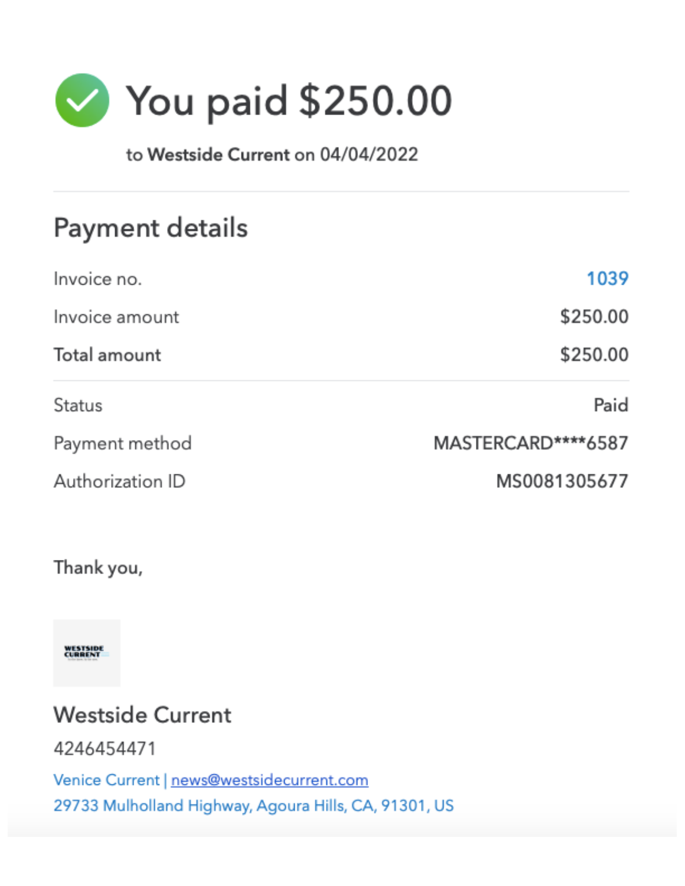

to Westside Current on 04/04/2022

# Payment details

| Invoice no.      | 1039               |
|------------------|--------------------|
| Invoice amount   | \$250.00           |
| Total amount     | \$250.00           |
| <b>Status</b>    | Paid               |
| Payment method   | MASTERCARD****6587 |
| Authorization ID | MS0081305677       |

### Thank you,

**WESTSIDE**<br>CURRENT

# **Westside Current**

4246454471

Venice Current | news@westsidecurrent.com 29733 Mulholland Highway, Agoura Hills, CA, 91301, US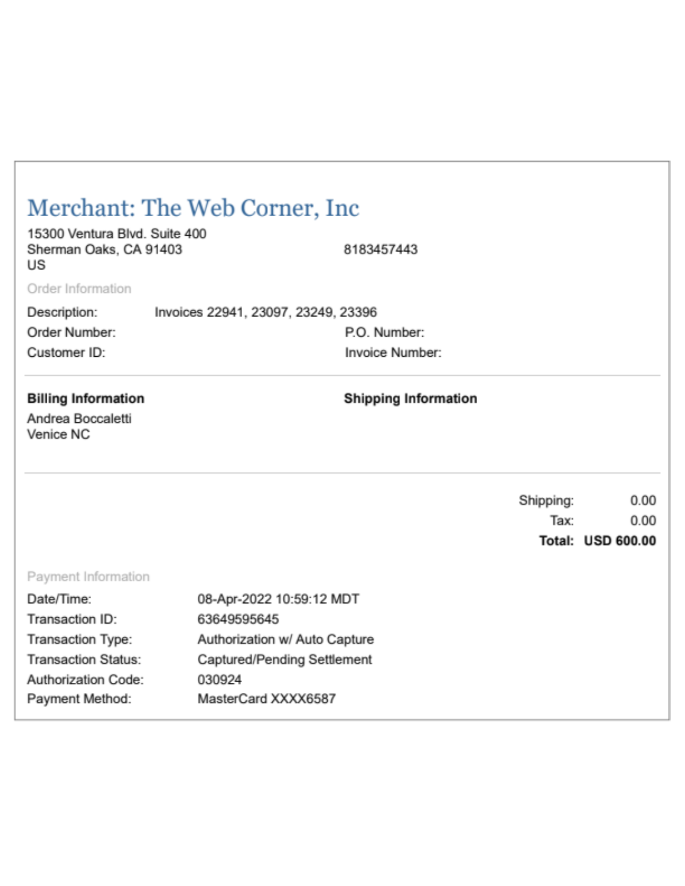|                                                               | Merchant: The Web Corner, Inc.      |                                 |           |                          |
|---------------------------------------------------------------|-------------------------------------|---------------------------------|-----------|--------------------------|
| 15300 Ventura Blvd. Suite 400<br>Sherman Oaks, CA 91403<br>US |                                     | 8183457443                      |           |                          |
| Order Information                                             |                                     |                                 |           |                          |
| Description:                                                  | Invoices 22941, 23097, 23249, 23396 |                                 |           |                          |
| Order Number:<br>Customer ID:                                 |                                     | P.O. Number:<br>Invoice Number: |           |                          |
| <b>Billing Information</b><br>Andrea Boccaletti<br>Venice NC  |                                     | <b>Shipping Information</b>     |           |                          |
|                                                               |                                     |                                 | Shipping: | 0.00                     |
|                                                               |                                     |                                 | Tax:      | 0.00                     |
|                                                               |                                     |                                 |           | <b>Total: USD 600.00</b> |
| Payment Information                                           |                                     |                                 |           |                          |
| Date/Time:                                                    | 08-Apr-2022 10:59:12 MDT            |                                 |           |                          |
| Transaction ID:                                               | 63649595645                         |                                 |           |                          |
| Transaction Type:                                             | Authorization w/ Auto Capture       |                                 |           |                          |
| <b>Transaction Status:</b>                                    | Captured/Pending Settlement         |                                 |           |                          |
| Authorization Code:                                           | 030924                              |                                 |           |                          |
| Payment Method:                                               | MasterCard XXXX6587                 |                                 |           |                          |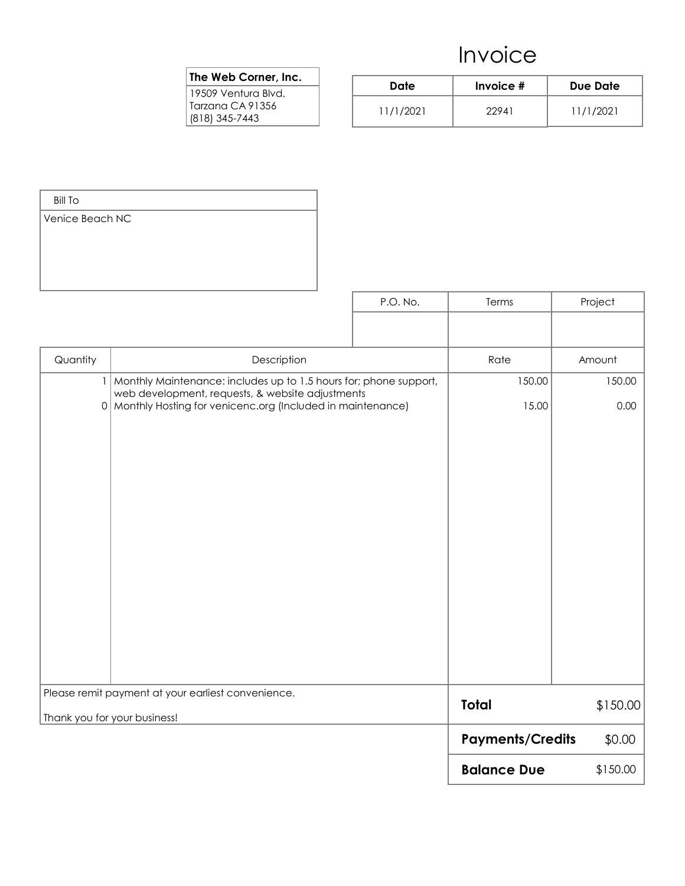#### The Web Corner, Inc.

| Date      | Invoice $#$ | Due Date  |
|-----------|-------------|-----------|
| 11/1/2021 | 22941       | 11/1/2021 |

| <b>Bill To</b>  |                                                                                                                           |          |                         |          |
|-----------------|---------------------------------------------------------------------------------------------------------------------------|----------|-------------------------|----------|
| Venice Beach NC |                                                                                                                           |          |                         |          |
|                 |                                                                                                                           | P.O. No. | Terms                   | Project  |
|                 |                                                                                                                           |          |                         |          |
| Quantity        | Description                                                                                                               |          | Rate                    | Amount   |
|                 | 1   Monthly Maintenance: includes up to 1.5 hours for; phone support,<br>web development, requests, & website adjustments |          | 150.00                  | 150.00   |
|                 | 0 Monthly Hosting for venicenc.org (Included in maintenance)                                                              |          | 15.00                   | 0.00     |
|                 |                                                                                                                           |          |                         |          |
|                 | Please remit payment at your earliest convenience.<br>Thank you for your business!                                        |          | <b>Total</b>            | \$150.00 |
|                 |                                                                                                                           |          | <b>Payments/Credits</b> | \$0.00   |
|                 |                                                                                                                           |          | <b>Balance Due</b>      | \$150.00 |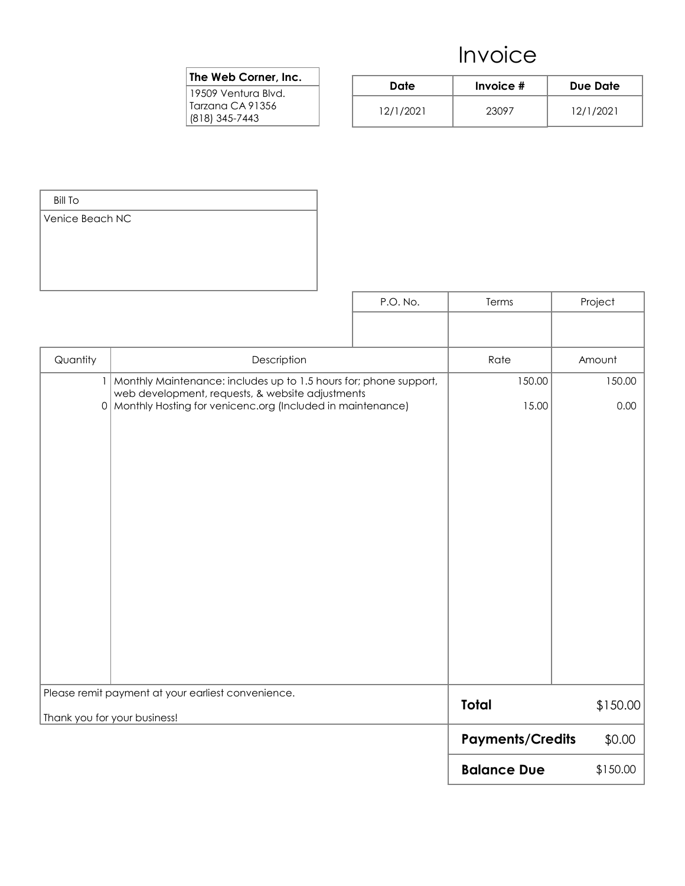#### The Web Corner, Inc.

| Date      | Invoice $#$ | Due Date  |
|-----------|-------------|-----------|
| 12/1/2021 | 23097       | 12/1/2021 |

| <b>Bill To</b>  |                                                                                                                    |          |                         |          |
|-----------------|--------------------------------------------------------------------------------------------------------------------|----------|-------------------------|----------|
| Venice Beach NC |                                                                                                                    |          |                         |          |
|                 |                                                                                                                    | P.O. No. | Terms                   | Project  |
|                 |                                                                                                                    |          |                         |          |
| Quantity        | Description                                                                                                        |          | Rate                    | Amount   |
| $\vert$         | Monthly Maintenance: includes up to 1.5 hours for; phone support,                                                  |          | 150.00                  | 150.00   |
|                 | web development, requests, & website adjustments<br>0   Monthly Hosting for venicenc.org (Included in maintenance) |          | 15.00                   | 0.00     |
|                 |                                                                                                                    |          |                         |          |
|                 | Please remit payment at your earliest convenience.<br>Thank you for your business!                                 |          | <b>Total</b>            | \$150.00 |
|                 |                                                                                                                    |          | <b>Payments/Credits</b> | \$0.00   |
|                 |                                                                                                                    |          | <b>Balance Due</b>      | \$150.00 |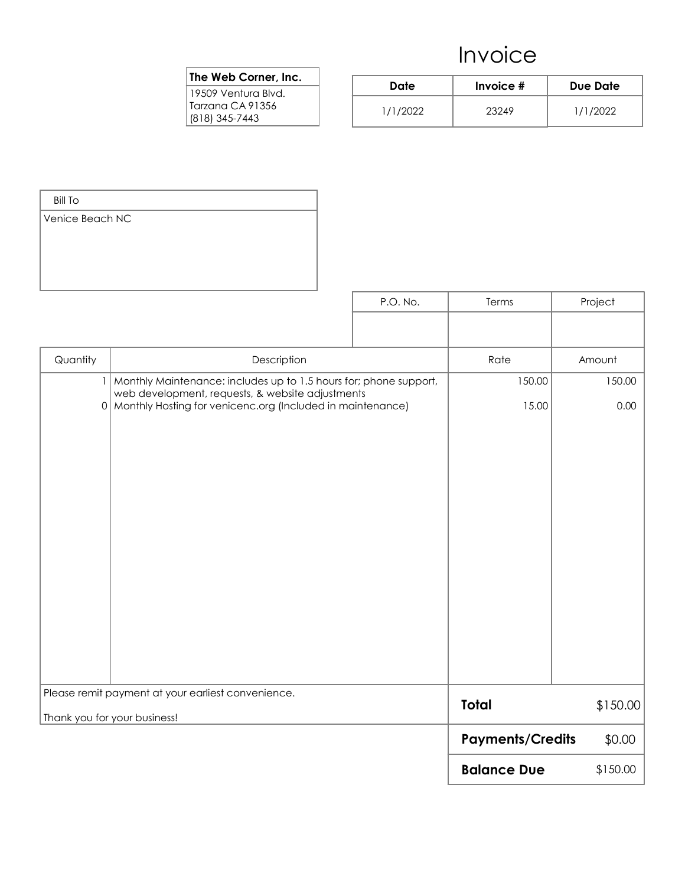#### The Web Corner, Inc.

| Date     | Invoice $#$ | Due Date |
|----------|-------------|----------|
| 1/1/2022 | 23249       | 1/1/2022 |

| <b>Bill To</b>  |                                                                                                                           |          |                         |          |
|-----------------|---------------------------------------------------------------------------------------------------------------------------|----------|-------------------------|----------|
| Venice Beach NC |                                                                                                                           |          |                         |          |
|                 |                                                                                                                           | P.O. No. | Terms                   | Project  |
|                 |                                                                                                                           |          |                         |          |
| Quantity        | Description                                                                                                               |          | Rate                    | Amount   |
|                 | 1   Monthly Maintenance: includes up to 1.5 hours for; phone support,<br>web development, requests, & website adjustments |          | 150.00                  | 150.00   |
|                 | 0   Monthly Hosting for venicenc.org (Included in maintenance)                                                            |          | 15.00                   | 0.00     |
|                 |                                                                                                                           |          |                         |          |
|                 | Please remit payment at your earliest convenience.<br>Thank you for your business!                                        |          | <b>Total</b>            | \$150.00 |
|                 |                                                                                                                           |          | <b>Payments/Credits</b> | \$0.00   |
|                 |                                                                                                                           |          | <b>Balance Due</b>      | \$150.00 |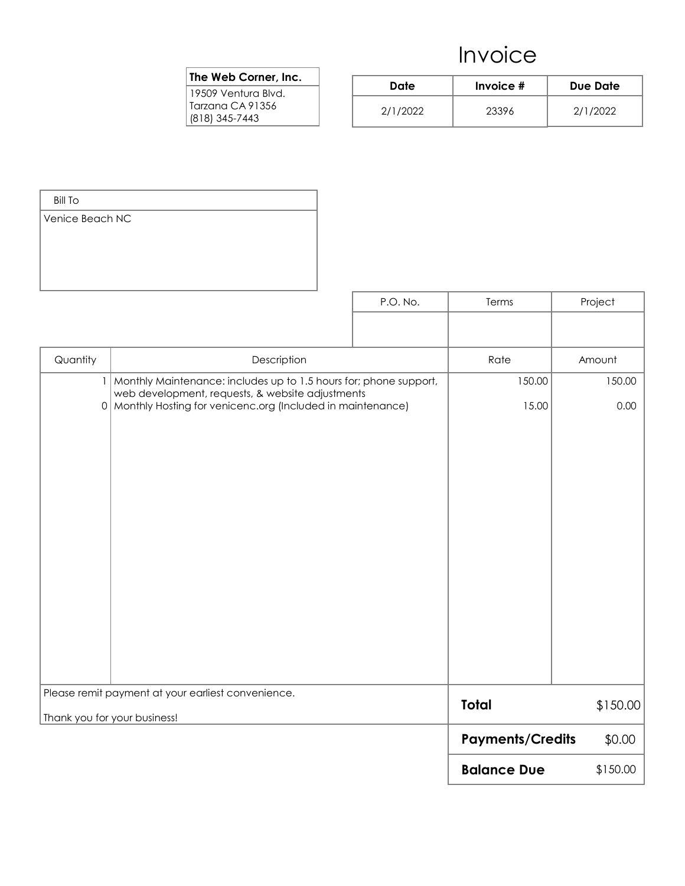#### The Web Corner, Inc.

| Date     | Invoice $#$ | Due Date |
|----------|-------------|----------|
| 2/1/2022 | 23396       | 2/1/2022 |

| <b>Bill To</b>  |                                                                                                                           |          |                         |          |
|-----------------|---------------------------------------------------------------------------------------------------------------------------|----------|-------------------------|----------|
| Venice Beach NC |                                                                                                                           |          |                         |          |
|                 |                                                                                                                           | P.O. No. | Terms                   | Project  |
|                 |                                                                                                                           |          |                         |          |
| Quantity        | Description                                                                                                               |          | Rate                    | Amount   |
|                 | 1   Monthly Maintenance: includes up to 1.5 hours for; phone support,<br>web development, requests, & website adjustments |          | 150.00                  | 150.00   |
|                 | 0   Monthly Hosting for venicenc.org (Included in maintenance)                                                            |          | 15.00                   | 0.00     |
|                 |                                                                                                                           |          |                         |          |
|                 | Please remit payment at your earliest convenience.<br>Thank you for your business!                                        |          | <b>Total</b>            | \$150.00 |
|                 |                                                                                                                           |          | <b>Payments/Credits</b> | \$0.00   |
|                 |                                                                                                                           |          | <b>Balance Due</b>      | \$150.00 |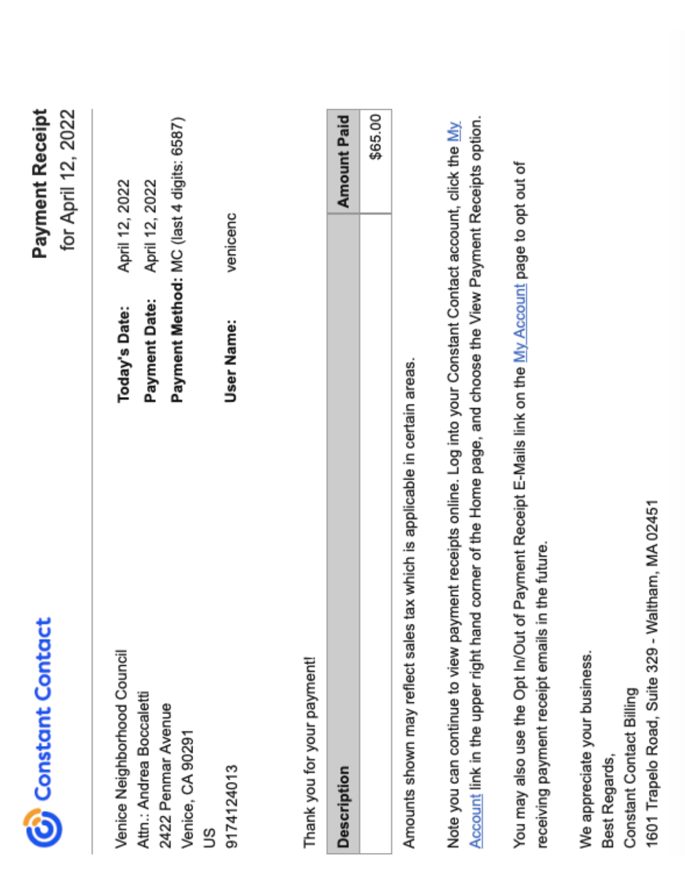| <b>C</b> Constant Contact                                                                                                                                                                                                 |                                | Payment Receipt<br>for April 12, 2022                                        |
|---------------------------------------------------------------------------------------------------------------------------------------------------------------------------------------------------------------------------|--------------------------------|------------------------------------------------------------------------------|
| Venice Neighborhood Council<br>Attn.: Andrea Boccaletti<br>2422 Penmar Avenue<br>Venice, CA 90291                                                                                                                         | Payment Date:<br>Today's Date: | Payment Method: MC (last 4 digits: 6587)<br>April 12, 2022<br>April 12, 2022 |
| 9174124013<br>S                                                                                                                                                                                                           | User Name:                     | venicenc                                                                     |
| Thank you for your payment!                                                                                                                                                                                               |                                |                                                                              |
| <b>Description</b>                                                                                                                                                                                                        |                                | <b>Amount Paid</b>                                                           |
|                                                                                                                                                                                                                           |                                | \$65.00                                                                      |
| Amounts shown may reflect sales tax which is applicable in certain areas.                                                                                                                                                 |                                |                                                                              |
| Account link in the upper right hand corner of the Home page, and choose the View Payment Receipts option.<br>Note you can continue to view payment receipts online. Log into your Constant Contact account, click the My |                                |                                                                              |
| You may also use the Opt In/Out of Payment Receipt E-Mails link on the My Account page to opt out of<br>receiving payment receipt emails in the future.                                                                   |                                |                                                                              |
| We appreciate your business.<br>Best Regards,                                                                                                                                                                             |                                |                                                                              |

1601 Trapelo Road, Suite 329 - Waltham, MA 02451

Constant Contact Billing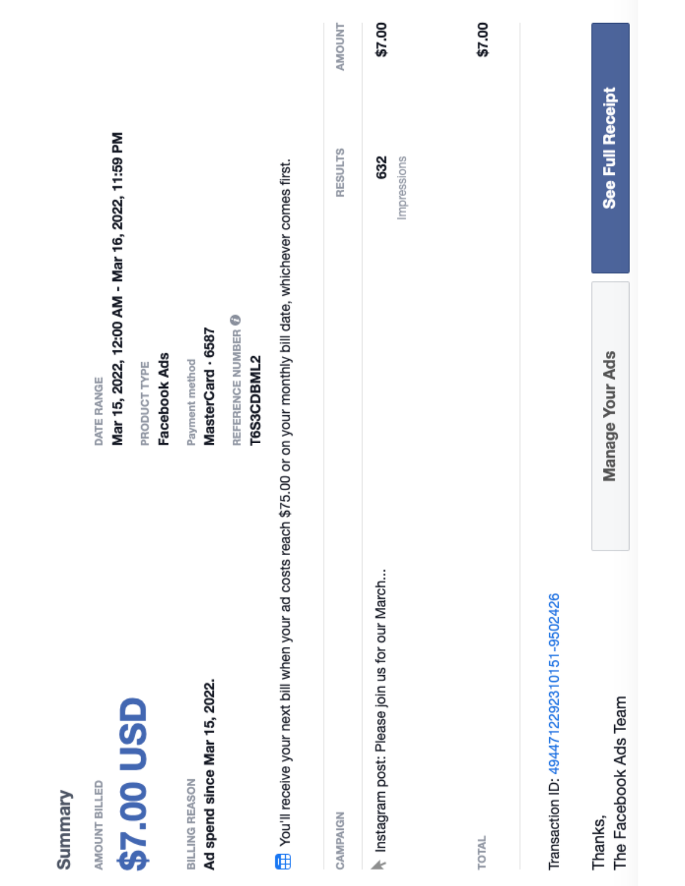| Summary                                                                                                                 |                                                                                               |                    |        |
|-------------------------------------------------------------------------------------------------------------------------|-----------------------------------------------------------------------------------------------|--------------------|--------|
| \$7.00 USD<br>AMOUNT BILLED                                                                                             | Mar 15, 2022, 12:00 AM - Mar 16, 2022, 11:59 PM<br>Facebook Ads<br>PRODUCT TYPE<br>DATE RANGE |                    |        |
| Ad spend since Mar 15, 2022.<br>BILLING REASON                                                                          | REFERENCE NUMBER O<br>MasterCard · 6587<br>Payment method                                     |                    |        |
| The You'll receive your next bill when your ad costs reach \$75.00 or on your monthly bill date, whichever comes first. | T6S3CDBML2                                                                                    |                    |        |
| CAMPAIGN                                                                                                                |                                                                                               | <b>RESULTS</b>     | NMOUNT |
| Instagram post: Please join us for our March                                                                            |                                                                                               | 632<br>Impressions | \$7.00 |
| TOTAL                                                                                                                   |                                                                                               |                    | \$7.00 |
| Transaction ID: 4944712292310151-9502426                                                                                |                                                                                               |                    |        |
| The Facebook Ads Team<br>Thanks,                                                                                        | Manage Your Ads                                                                               | See Full Receipt   |        |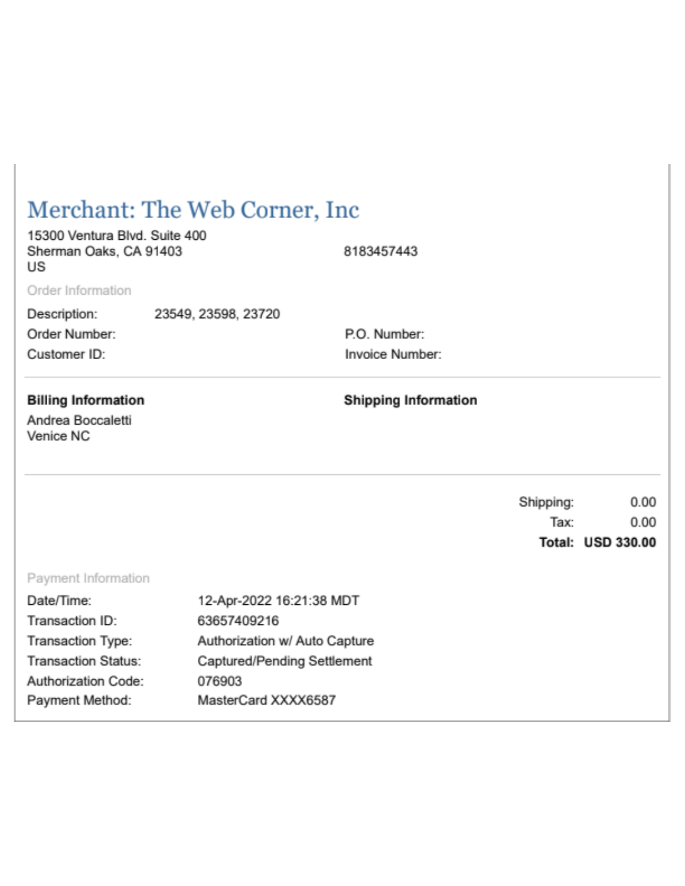| Merchant: The Web Corner, Inc.                                |                               |                             |           |                   |  |
|---------------------------------------------------------------|-------------------------------|-----------------------------|-----------|-------------------|--|
| 15300 Ventura Blvd. Suite 400<br>Sherman Oaks, CA 91403<br>US |                               | 8183457443                  |           |                   |  |
| Order Information                                             |                               |                             |           |                   |  |
| Description:                                                  | 23549, 23598, 23720           |                             |           |                   |  |
| Order Number:                                                 |                               | P.O. Number:                |           |                   |  |
| Customer ID:                                                  |                               | Invoice Number:             |           |                   |  |
| <b>Billing Information</b><br>Andrea Boccaletti<br>Venice NC  |                               | <b>Shipping Information</b> |           |                   |  |
|                                                               |                               |                             | Shipping: | 0.00              |  |
|                                                               |                               |                             | Tax:      | 0.00              |  |
|                                                               |                               |                             |           | Total: USD 330.00 |  |
| Payment Information                                           |                               |                             |           |                   |  |
| Date/Time:                                                    | 12-Apr-2022 16:21:38 MDT      |                             |           |                   |  |
| Transaction ID:                                               | 63657409216                   |                             |           |                   |  |
| Transaction Type:                                             | Authorization w/ Auto Capture |                             |           |                   |  |
| <b>Transaction Status:</b>                                    | Captured/Pending Settlement   |                             |           |                   |  |
| Authorization Code:                                           | 076903                        |                             |           |                   |  |
| Payment Method:<br>MasterCard XXXX6587                        |                               |                             |           |                   |  |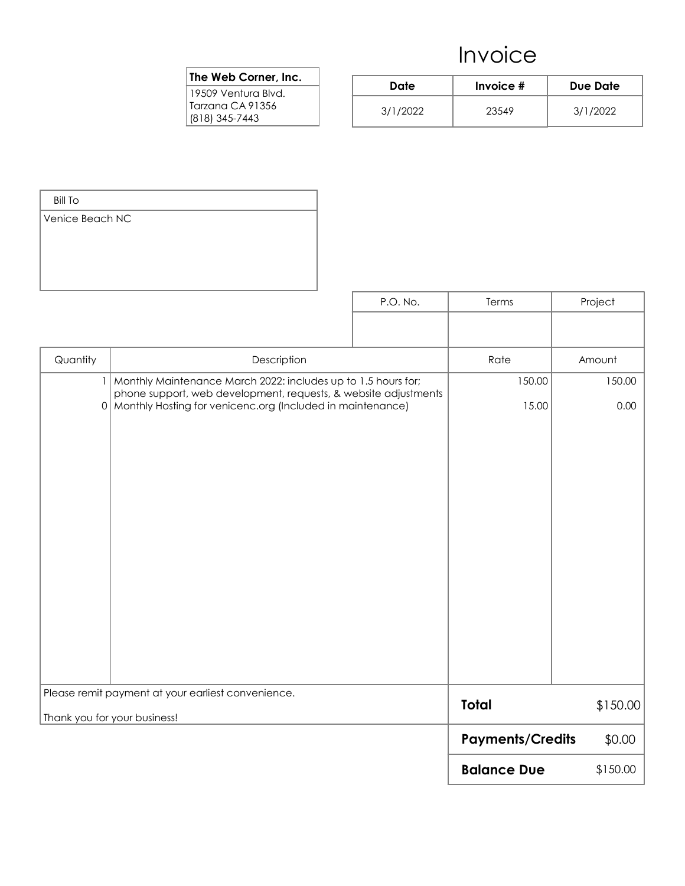#### The Web Corner, Inc.

| Date     | Invoice $#$ | Due Date |
|----------|-------------|----------|
| 3/1/2022 | 23549       | 3/1/2022 |

| <b>Bill To</b>               |                                                                                                                                   |          |                         |          |
|------------------------------|-----------------------------------------------------------------------------------------------------------------------------------|----------|-------------------------|----------|
| Venice Beach NC              |                                                                                                                                   |          |                         |          |
|                              |                                                                                                                                   |          |                         |          |
|                              |                                                                                                                                   |          |                         |          |
|                              |                                                                                                                                   |          |                         |          |
|                              |                                                                                                                                   | P.O. No. | Terms                   | Project  |
|                              |                                                                                                                                   |          |                         |          |
|                              |                                                                                                                                   |          |                         |          |
| Quantity                     | Description                                                                                                                       |          | Rate                    | Amount   |
| $\vert$                      | Monthly Maintenance March 2022: includes up to 1.5 hours for;                                                                     |          | 150.00                  | 150.00   |
|                              | phone support, web development, requests, & website adjustments<br>0   Monthly Hosting for venicenc.org (Included in maintenance) |          | 15.00                   | 0.00     |
|                              |                                                                                                                                   |          |                         |          |
|                              |                                                                                                                                   |          |                         |          |
|                              |                                                                                                                                   |          |                         |          |
|                              |                                                                                                                                   |          |                         |          |
|                              |                                                                                                                                   |          |                         |          |
|                              |                                                                                                                                   |          |                         |          |
|                              |                                                                                                                                   |          |                         |          |
|                              |                                                                                                                                   |          |                         |          |
|                              |                                                                                                                                   |          |                         |          |
|                              |                                                                                                                                   |          |                         |          |
|                              |                                                                                                                                   |          |                         |          |
|                              |                                                                                                                                   |          |                         |          |
|                              |                                                                                                                                   |          |                         |          |
|                              |                                                                                                                                   |          |                         |          |
| Thank you for your business! | Please remit payment at your earliest convenience.                                                                                |          | <b>Total</b>            | \$150.00 |
|                              |                                                                                                                                   |          | <b>Payments/Credits</b> | \$0.00   |
|                              |                                                                                                                                   |          | <b>Balance Due</b>      | \$150.00 |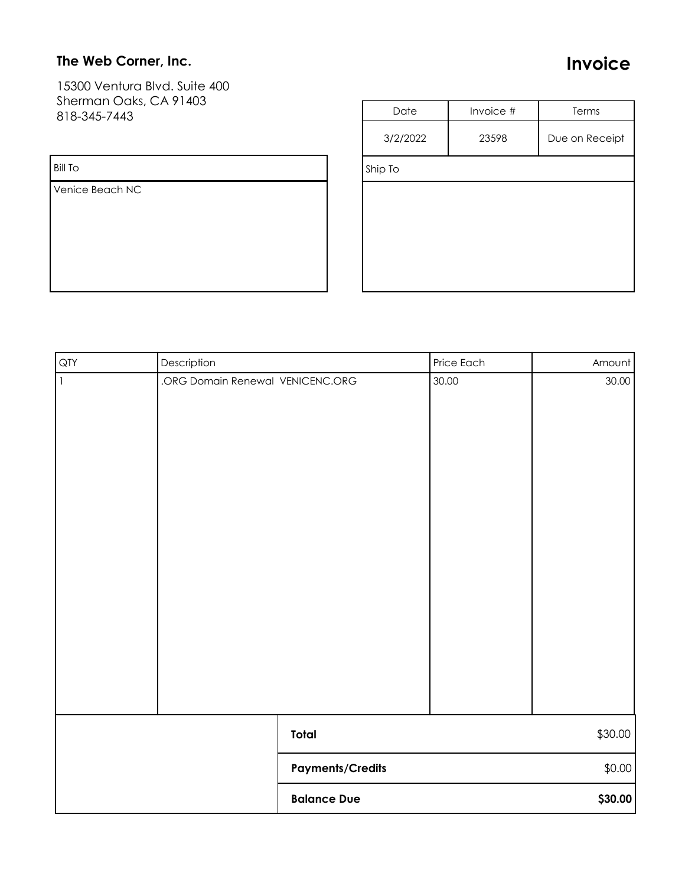### The Web Corner, Inc.

Invoice

15300 Ventura Blvd. Suite 400 Sherman Oaks, CA 91403 818-345-7443

#### Bill To

Venice Beach NC

| Date     | Invoice # | Terms          |  |  |  |  |
|----------|-----------|----------------|--|--|--|--|
| 3/2/2022 | 23598     | Due on Receipt |  |  |  |  |
| Ship To  |           |                |  |  |  |  |
|          |           |                |  |  |  |  |
|          |           |                |  |  |  |  |
|          |           |                |  |  |  |  |
|          |           |                |  |  |  |  |
|          |           |                |  |  |  |  |

| QTY         | Description                      |                         | Price Each | Amount  |
|-------------|----------------------------------|-------------------------|------------|---------|
| $\mathbf 1$ | .ORG Domain Renewal VENICENC.ORG |                         | 30.00      | 30.00   |
|             |                                  | Total                   |            | \$30.00 |
|             |                                  | <b>Payments/Credits</b> |            | \$0.00  |
|             |                                  | <b>Balance Due</b>      |            | \$30.00 |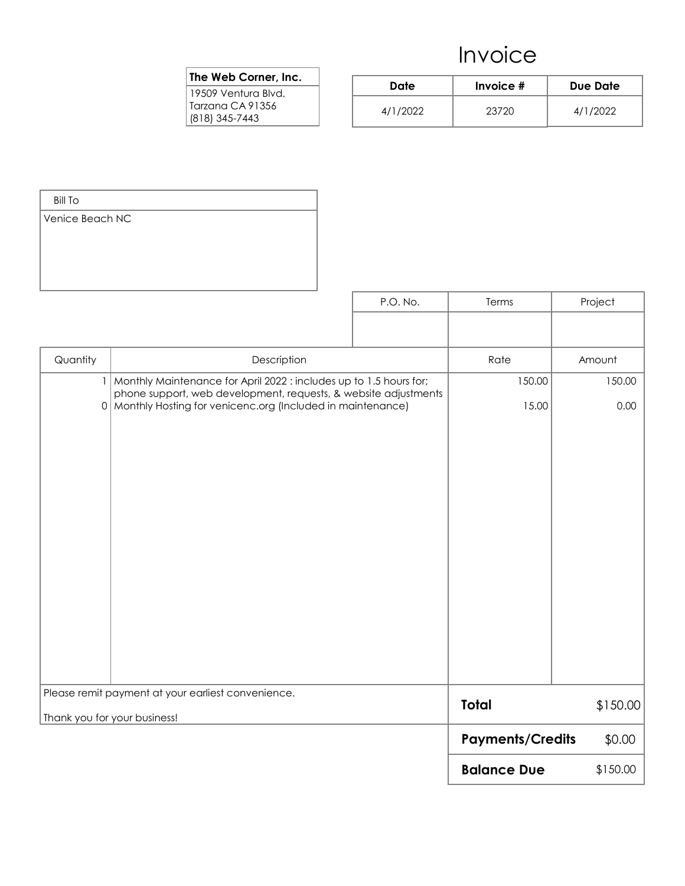#### The Web Corner, Inc.

| Date     | Invoice $#$ | Due Date |  |  |
|----------|-------------|----------|--|--|
| 4/1/2022 | 23720       | 4/1/2022 |  |  |

| <b>Bill To</b>  |                                                                                    |                                                                 |                         |          |
|-----------------|------------------------------------------------------------------------------------|-----------------------------------------------------------------|-------------------------|----------|
| Venice Beach NC |                                                                                    |                                                                 |                         |          |
|                 |                                                                                    |                                                                 |                         |          |
|                 |                                                                                    |                                                                 |                         |          |
|                 |                                                                                    |                                                                 |                         |          |
|                 |                                                                                    | P.O. No.                                                        | Terms                   | Project  |
|                 |                                                                                    |                                                                 |                         |          |
| Quantity        | Description                                                                        |                                                                 | Rate                    | Amount   |
| $\vert$         | Monthly Maintenance for April 2022 : includes up to 1.5 hours for;                 | 150.00                                                          | 150.00                  |          |
|                 | 0   Monthly Hosting for venicenc.org (Included in maintenance)                     | phone support, web development, requests, & website adjustments |                         |          |
|                 |                                                                                    |                                                                 | 15.00                   | 0.00     |
|                 |                                                                                    |                                                                 |                         |          |
|                 |                                                                                    |                                                                 |                         |          |
|                 |                                                                                    |                                                                 |                         |          |
|                 |                                                                                    |                                                                 |                         |          |
|                 |                                                                                    |                                                                 |                         |          |
|                 |                                                                                    |                                                                 |                         |          |
|                 |                                                                                    |                                                                 |                         |          |
|                 |                                                                                    |                                                                 |                         |          |
|                 |                                                                                    |                                                                 |                         |          |
|                 |                                                                                    |                                                                 |                         |          |
|                 |                                                                                    |                                                                 |                         |          |
|                 |                                                                                    |                                                                 |                         |          |
|                 | Please remit payment at your earliest convenience.<br>Thank you for your business! |                                                                 | <b>Total</b>            | \$150.00 |
|                 |                                                                                    |                                                                 | <b>Payments/Credits</b> | \$0.00   |
|                 |                                                                                    |                                                                 | <b>Balance Due</b>      | \$150.00 |